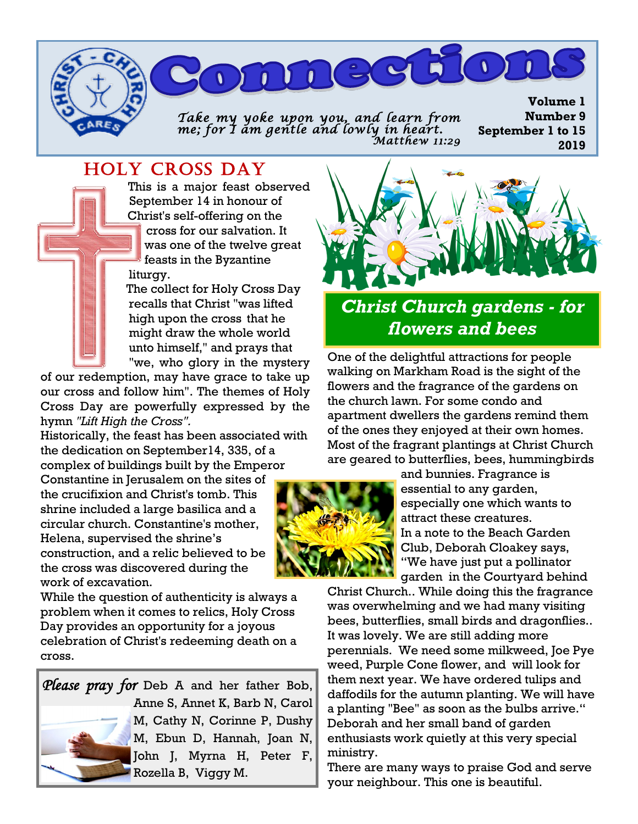*Take my yoke upon you, and learn from me; for I am gentle and lowly in heart. Matthew 11:29* 

mneed

# HOLY CROSS DAY

 This is a major feast observed September 14 in honour of Christ's self-offering on the cross for our salvation. It was one of the twelve great feasts in the Byzantine liturgy.

 The collect for Holy Cross Day recalls that Christ "was lifted high upon the cross that he might draw the whole world unto himself," and prays that "we, who glory in the mystery

of our redemption, may have grace to take up our cross and follow him". The themes of Holy Cross Day are powerfully expressed by the hymn *"Lift High the Cross".* 

Historically, the feast has been associated with the dedication on September14, 335, of a complex of buildings built by the Emperor

Constantine in Jerusalem on the sites of the crucifixion and Christ's tomb. This shrine included a large basilica and a circular church. Constantine's mother, Helena, supervised the shrine's construction, and a relic believed to be the cross was discovered during the work of excavation.

While the question of authenticity is always a problem when it comes to relics, Holy Cross Day provides an opportunity for a joyous celebration of Christ's redeeming death on a cross.

## *Please pray for* Deb A and her father Bob, Anne S, Annet K, Barb N, Carol M, Cathy N, Corinne P, Dushy M, Ebun D, Hannah, Joan N, John J, Myrna H, Peter F, Rozella B, Viggy M.



# *Christ Church gardens - for flowers and bees*

One of the delightful attractions for people walking on Markham Road is the sight of the flowers and the fragrance of the gardens on the church lawn. For some condo and apartment dwellers the gardens remind them of the ones they enjoyed at their own homes. Most of the fragrant plantings at Christ Church are geared to butterflies, bees, hummingbirds



and bunnies. Fragrance is essential to any garden, especially one which wants to attract these creatures. In a note to the Beach Garden Club, Deborah Cloakey says, "We have just put a pollinator garden in the Courtyard behind

Christ Church.. While doing this the fragrance was overwhelming and we had many visiting bees, butterflies, small birds and dragonflies.. It was lovely. We are still adding more perennials. We need some milkweed, Joe Pye weed, Purple Cone flower, and will look for them next year. We have ordered tulips and daffodils for the autumn planting. We will have a planting "Bee" as soon as the bulbs arrive." Deborah and her small band of garden enthusiasts work quietly at this very special ministry.

There are many ways to praise God and serve your neighbour. This one is beautiful.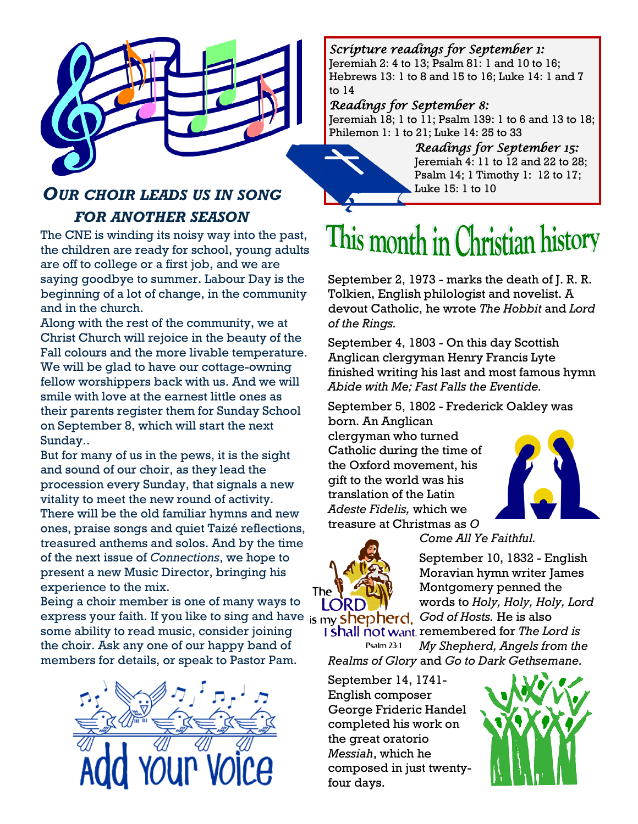

# *OUR CHOIR LEADS US IN SONG FOR ANOTHER SEASON*

The CNE is winding its noisy way into the past, the children are ready for school, young adults are off to college or a first job, and we are saying goodbye to summer. Labour Day is the beginning of a lot of change, in the community and in the church.

Along with the rest of the community, we at Christ Church will rejoice in the beauty of the Fall colours and the more livable temperature. We will be glad to have our cottage-owning fellow worshippers back with us. And we will smile with love at the earnest little ones as their parents register them for Sunday School on September 8, which will start the next Sunday..

But for many of us in the pews, it is the sight and sound of our choir, as they lead the procession every Sunday, that signals a new vitality to meet the new round of activity. There will be the old familiar hymns and new ones, praise songs and quiet Taizé reflections, treasured anthems and solos. And by the time of the next issue of *Connections*, we hope to present a new Music Director, bringing his experience to the mix.

Being a choir member is one of many ways to express your faith. If you like to sing and have <sub>is my</sub> shepherd. God of Hosts. He is also some ability to read music, consider joining the choir. Ask any one of our happy band of members for details, or speak to Pastor Pam.



#### *Scripture readings for September 1:*

Jeremiah 2: 4 to 13; Psalm 81: 1 and 10 to 16; Hebrews 13: 1 to 8 and 15 to 16; Luke 14: 1 and 7 to 14

#### *Readings for September 8:*

Jeremiah 18; 1 to 11; Psalm 139: 1 to 6 and 13 to 18; Philemon 1: 1 to 21; Luke 14: 25 to 33

> *Readings for September 15:*  Jeremiah 4: 11 to 12 and 22 to 28; Psalm 14; 1 Timothy 1: 12 to 17; Luke 15: 1 to 10

# This month in Christian history

September 2, 1973 - marks the death of J. R. R. Tolkien, English philologist and novelist. A devout Catholic, he wrote *The Hobbit* and *Lord of the Rings.*

September 4, 1803 - On this day Scottish Anglican clergyman Henry Francis Lyte finished writing his last and most famous hymn *Abide with Me; Fast Falls the Eventide.*

September 5, 1802 - Frederick Oakley was born. An Anglican clergyman who turned Catholic during the time of the Oxford movement, his gift to the world was his

translation of the Latin *Adeste Fidelis,* which we treasure at Christmas as *O* 





*Come All Ye Faithful.*

September 10, 1832 - English Moravian hymn writer James Montgomery penned the words to *Holy, Holy, Holy, Lord* 

**1 shall not want** remembered for *The Lord is* Psalm 23:1 *My Shepherd, Angels from the Realms of Glory* and *Go to Dark Gethsemane.*

September 14, 1741- English composer George Frideric Handel completed his work on the great oratorio *Messiah*, which he composed in just twentyfour days.